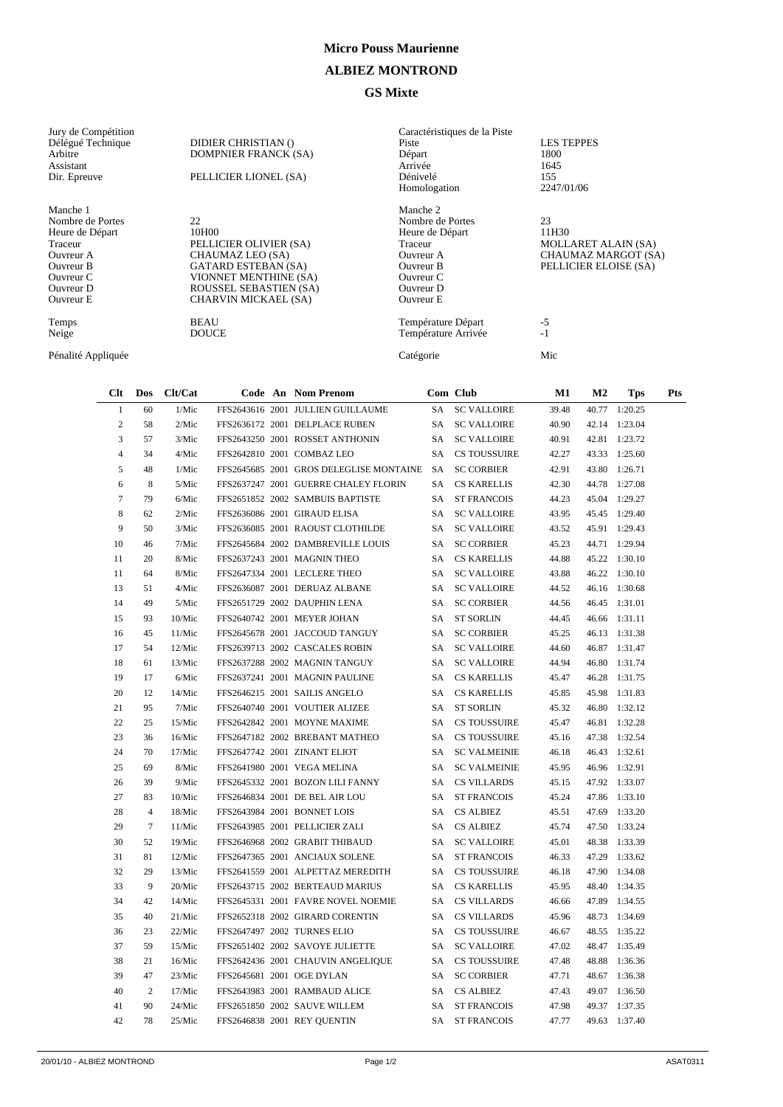## **Micro Pouss Maurienne**

## **ALBIEZ MONTROND**

## **GS Mixte**

| Jury de Compétition |                             | Caractéristiques de la Piste |                            |
|---------------------|-----------------------------|------------------------------|----------------------------|
| Délégué Technique   | DIDIER CHRISTIAN ()         | Piste                        | <b>LES TEPPES</b>          |
| Arbitre             | <b>DOMPNIER FRANCK (SA)</b> | Départ                       | 1800                       |
| Assistant           |                             | Arrivée                      | 1645                       |
| Dir. Epreuve        | PELLICIER LIONEL (SA)       | Dénivelé                     | 155                        |
|                     |                             | Homologation                 | 2247/01/06                 |
| Manche 1            |                             | Manche 2                     |                            |
| Nombre de Portes    | 22                          | Nombre de Portes             | 23                         |
| Heure de Départ     | 10H00                       | Heure de Départ              | 11H30                      |
| Traceur             | PELLICIER OLIVIER (SA)      | Traceur                      | <b>MOLLARET ALAIN (SA)</b> |
| Ouvreur A           | CHAUMAZ LEO (SA)            | Ouvreur A                    | CHAUMAZ MARGOT (SA)        |
| Ouvreur B           | <b>GATARD ESTEBAN (SA)</b>  | Ouvreur B                    | PELLICIER ELOISE (SA)      |
| Ouvreur C           | VIONNET MENTHINE (SA)       | Ouvreur C                    |                            |
| Ouvreur D           | ROUSSEL SEBASTIEN (SA)      | Ouvreur D                    |                            |
| Ouvreur E           | CHARVIN MICKAEL (SA)        | <b>Ouvreur E</b>             |                            |
| Temps               | <b>BEAU</b>                 | Température Départ           | $-5$                       |
| Neige               | <b>DOUCE</b>                | Température Arrivée          | $-1$                       |
| Pénalité Appliquée  |                             | Catégorie                    | Mic                        |

| $Cl$ t         | Dos            | Clt/Cat |  | Code An Nom Prenom                      |      | Com Club            | $\mathbf{M1}$ | $\bf M2$ | <b>Tps</b>    | Pts |
|----------------|----------------|---------|--|-----------------------------------------|------|---------------------|---------------|----------|---------------|-----|
| $\mathbf{1}$   | 60             | 1/Mic   |  | FFS2643616 2001 JULLIEN GUILLAUME       | SA   | <b>SC VALLOIRE</b>  | 39.48         | 40.77    | 1:20.25       |     |
| $\overline{c}$ | 58             | 2/Mic   |  | FFS2636172 2001 DELPLACE RUBEN          | SA   | <b>SC VALLOIRE</b>  | 40.90         |          | 42.14 1:23.04 |     |
| 3              | 57             | 3/Mic   |  | FFS2643250 2001 ROSSET ANTHONIN         | SA   | <b>SC VALLOIRE</b>  | 40.91         |          | 42.81 1:23.72 |     |
| $\overline{4}$ | 34             | 4/Mic   |  | FFS2642810 2001 COMBAZ LEO              | SA - | <b>CS TOUSSUIRE</b> | 42.27         |          | 43.33 1:25.60 |     |
| 5              | 48             | 1/Mic   |  | FFS2645685 2001 GROS DELEGLISE MONTAINE | SA   | <b>SC CORBIER</b>   | 42.91         | 43.80    | 1:26.71       |     |
| 6              | 8              | 5/Mic   |  | FFS2637247 2001 GUERRE CHALEY FLORIN    | SA   | <b>CS KARELLIS</b>  | 42.30         |          | 44.78 1:27.08 |     |
| $\overline{7}$ | 79             | 6/Mic   |  | FFS2651852 2002 SAMBUIS BAPTISTE        | SA   | <b>ST FRANCOIS</b>  | 44.23         | 45.04    | 1:29.27       |     |
| 8              | 62             | 2/Mic   |  | FFS2636086 2001 GIRAUD ELISA            | SA   | <b>SC VALLOIRE</b>  | 43.95         |          | 45.45 1:29.40 |     |
| 9              | 50             | 3/Mic   |  | FFS2636085 2001 RAOUST CLOTHILDE        | SA   | <b>SC VALLOIRE</b>  | 43.52         | 45.91    | 1:29.43       |     |
| 10             | 46             | 7/Mic   |  | FFS2645684 2002 DAMBREVILLE LOUIS       | SA   | <b>SC CORBIER</b>   | 45.23         |          | 44.71 1:29.94 |     |
| 11             | 20             | 8/Mic   |  | FFS2637243 2001 MAGNIN THEO             | SA   | <b>CS KARELLIS</b>  | 44.88         |          | 45.22 1:30.10 |     |
| 11             | 64             | 8/Mic   |  | FFS2647334 2001 LECLERE THEO            | SA   | <b>SC VALLOIRE</b>  | 43.88         |          | 46.22 1:30.10 |     |
| 13             | 51             | 4/Mic   |  | FFS2636087 2001 DERUAZ ALBANE           | SA   | <b>SC VALLOIRE</b>  | 44.52         |          | 46.16 1:30.68 |     |
| 14             | 49             | 5/Mic   |  | FFS2651729 2002 DAUPHIN LENA            | SA   | <b>SC CORBIER</b>   | 44.56         |          | 46.45 1:31.01 |     |
| 15             | 93             | 10/Mic  |  | FFS2640742 2001 MEYER JOHAN             | SA   | <b>ST SORLIN</b>    | 44.45         |          | 46.66 1:31.11 |     |
| 16             | 45             | 11/Mic  |  | FFS2645678 2001 JACCOUD TANGUY          | SA.  | <b>SC CORBIER</b>   | 45.25         |          | 46.13 1:31.38 |     |
| 17             | 54             | 12/Mic  |  | FFS2639713 2002 CASCALES ROBIN          | SA   | <b>SC VALLOIRE</b>  | 44.60         |          | 46.87 1:31.47 |     |
| 18             | 61             | 13/Mic  |  | FFS2637288 2002 MAGNIN TANGUY           | SA   | <b>SC VALLOIRE</b>  | 44.94         | 46.80    | 1:31.74       |     |
| 19             | 17             | 6/Mic   |  | FFS2637241 2001 MAGNIN PAULINE          | SA   | <b>CS KARELLIS</b>  | 45.47         | 46.28    | 1:31.75       |     |
| 20             | 12             | 14/Mic  |  | FFS2646215 2001 SAILIS ANGELO           | SA   | <b>CS KARELLIS</b>  | 45.85         | 45.98    | 1:31.83       |     |
| 21             | 95             | 7/Mic   |  | FFS2640740 2001 VOUTIER ALIZEE          | SA   | <b>ST SORLIN</b>    | 45.32         | 46.80    | 1:32.12       |     |
| 22             | 25             | 15/Mic  |  | FFS2642842 2001 MOYNE MAXIME            | SA   | <b>CS TOUSSUIRE</b> | 45.47         | 46.81    | 1:32.28       |     |
| 23             | 36             | 16/Mic  |  | FFS2647182 2002 BREBANT MATHEO          | SA   | <b>CS TOUSSUIRE</b> | 45.16         | 47.38    | 1:32.54       |     |
| 24             | 70             | 17/Mic  |  | FFS2647742 2001 ZINANT ELIOT            | SA   | <b>SC VALMEINIE</b> | 46.18         |          | 46.43 1:32.61 |     |
| 25             | 69             | 8/Mic   |  | FFS2641980 2001 VEGA MELINA             | SA   | <b>SC VALMEINIE</b> | 45.95         |          | 46.96 1:32.91 |     |
| 26             | 39             | 9/Mic   |  | FFS2645332 2001 BOZON LILI FANNY        |      | SA CS VILLARDS      | 45.15         |          | 47.92 1:33.07 |     |
| 27             | 83             | 10/Mic  |  | FFS2646834 2001 DE BEL AIR LOU          | SA - | <b>ST FRANCOIS</b>  | 45.24         |          | 47.86 1:33.10 |     |
| 28             | $\overline{4}$ | 18/Mic  |  | FFS2643984 2001 BONNET LOIS             | SA   | <b>CS ALBIEZ</b>    | 45.51         |          | 47.69 1:33.20 |     |
| 29             | $\tau$         | 11/Mic  |  | FFS2643985 2001 PELLICIER ZALI          | SA   | <b>CS ALBIEZ</b>    | 45.74         |          | 47.50 1:33.24 |     |
| 30             | 52             | 19/Mic  |  | FFS2646968 2002 GRABIT THIBAUD          | SA   | <b>SC VALLOIRE</b>  | 45.01         |          | 48.38 1:33.39 |     |
| 31             | 81             | 12/Mic  |  | FFS2647365 2001 ANCIAUX SOLENE          | SA.  | <b>ST FRANCOIS</b>  | 46.33         | 47.29    | 1:33.62       |     |
| 32             | 29             | 13/Mic  |  | FFS2641559 2001 ALPETTAZ MEREDITH       | SA   | <b>CS TOUSSUIRE</b> | 46.18         |          | 47.90 1:34.08 |     |
| 33             | 9              | 20/Mic  |  | FFS2643715 2002 BERTEAUD MARIUS         | SA   | <b>CS KARELLIS</b>  | 45.95         | 48.40    | 1:34.35       |     |
| 34             | 42             | 14/Mic  |  | FFS2645331 2001 FAVRE NOVEL NOEMIE      | SA - | <b>CS VILLARDS</b>  | 46.66         | 47.89    | 1:34.55       |     |
| 35             | 40             | 21/Mic  |  | FFS2652318 2002 GIRARD CORENTIN         | SA   | <b>CS VILLARDS</b>  | 45.96         | 48.73    | 1:34.69       |     |
| 36             | 23             | 22/Mic  |  | FFS2647497 2002 TURNES ELIO             | SA   | <b>CS TOUSSUIRE</b> | 46.67         |          | 48.55 1:35.22 |     |
| 37             | 59             | 15/Mic  |  | FFS2651402 2002 SAVOYE JULIETTE         | SA   | <b>SC VALLOIRE</b>  | 47.02         |          | 48.47 1:35.49 |     |
| 38             | 21             | 16/Mic  |  | FFS2642436 2001 CHAUVIN ANGELIQUE       | SA   | <b>CS TOUSSUIRE</b> | 47.48         | 48.88    | 1:36.36       |     |
| 39             | 47             | 23/Mic  |  | FFS2645681 2001 OGE DYLAN               | SA   | <b>SC CORBIER</b>   | 47.71         | 48.67    | 1:36.38       |     |
| 40             | $\overline{c}$ | 17/Mic  |  | FFS2643983 2001 RAMBAUD ALICE           | SA   | <b>CS ALBIEZ</b>    | 47.43         |          | 49.07 1:36.50 |     |
| 41             | 90             | 24/Mic  |  | FFS2651850 2002 SAUVE WILLEM            |      | SA ST FRANCOIS      | 47.98         |          | 49.37 1:37.35 |     |
| 42             | 78             | 25/Mic  |  | FFS2646838 2001 REY OUENTIN             |      | SA ST FRANCOIS      | 47.77         |          | 49.63 1:37.40 |     |